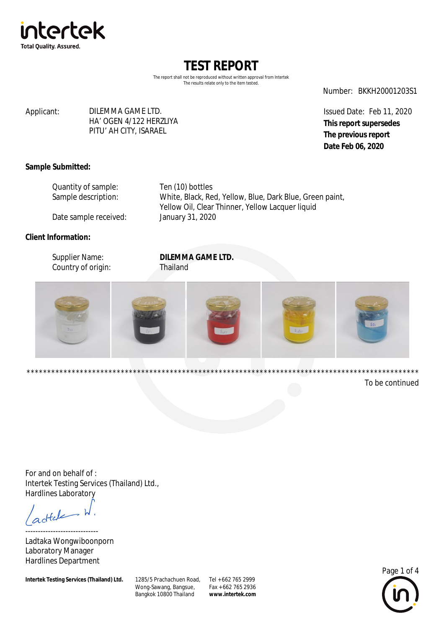

The report shall not be reproduced without written approval from Intertek The results relate only to the item tested.

Number: BKKH20001203S1

#### Applicant: DILEMMA GAME LTD. HA' OGEN 4/122 HERZLIYA PITU' AH CITY, ISARAEL

Issued Date: Feb 11, 2020 **This report supersedes The previous report Date Feb 06, 2020**

### **Sample Submitted:**

| Quantity of sample:   | Ten (10) bottles                                         |
|-----------------------|----------------------------------------------------------|
| Sample description:   | White, Black, Red, Yellow, Blue, Dark Blue, Green paint, |
|                       | Yellow Oil, Clear Thinner, Yellow Lacquer liquid         |
| Date sample received: | January 31, 2020                                         |

### **Client Information:**

| Supplier Name:     | <b>DILEMMA GAME LTD.</b> |
|--------------------|--------------------------|
| Country of origin: | Thailand                 |



To be continued

For and on behalf of : Intertek Testing Services (Thailand) Ltd., Hardlines Laboratory

 $dt$ 

----------------------------- Ladtaka Wongwiboonporn Laboratory Manager Hardlines Department

**Intertek Testing Services (Thailand) Ltd.** 

Wong-Sawang, Bangsue, Bangkok 10800 Thailand 1285/5 Prachachuen Road, Tel + 662 765 2999

Fax + 662 765 2936 **[www.intertek.com](http://www.intertek.com)**

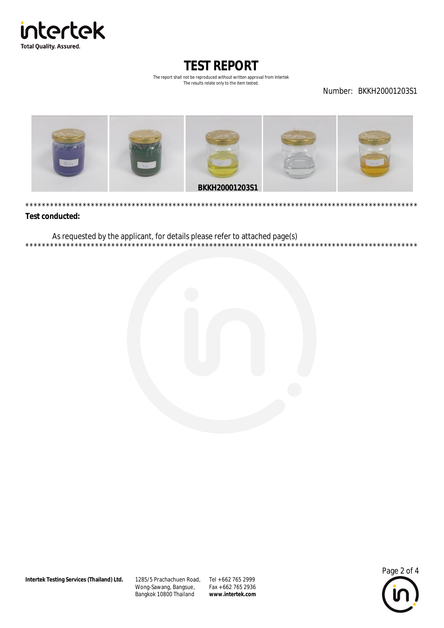

The report shall not be reproduced without written approval from Intertek The results relate only to the item tested.

Number: BKKH20001203S1

\*\*\*\*\*\*\*\*\*\*\*\*\*\*

 $***$ 

\*\*\*\*\*\*\*



#### **Test conducted:**

\*\*\*\*\*\*

\*\*\*\*\*\*\*\*\*

As requested by the applicant, for details please refer to attached page(s)



1285/5 Prachachuen Road, Tel + 662 765 2999 Wong-Sawang, Bangsue, Bangkok 10800 Thailand

Fax + 662 765 2936 www.intertek.com

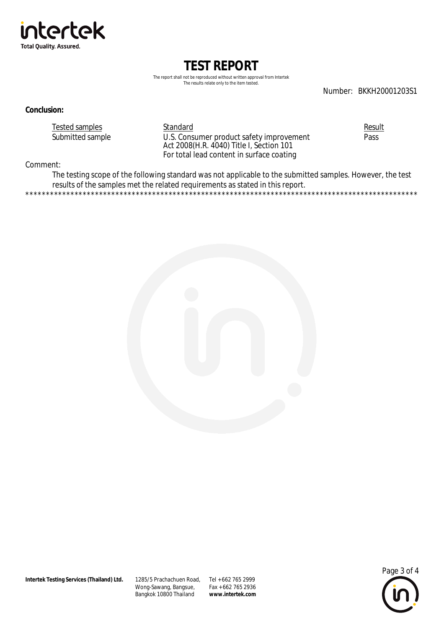

The report shall not be reproduced without written approval from Intertek The results relate only to the item tested.

Number: BKKH20001203S1

#### **Conclusion:**

**Tested samples** Submitted sample Standard U.S. Consumer product safety improvement<br>Act 2008(H.R. 4040) Title I, Section 101 For total lead content in surface coating

Result Pass

Comment:

The testing scope of the following standard was not applicable to the submitted samples. However, the test results of the samples met the related requirements as stated in this report. .<br>\*\*\*\*\*\*\*\*\*\*\*\*\*\*\*\*\*\*\* \*\*\*\*\*\*\*\*\*\*\*\*\*\*\*\*\*\*



1285/5 Prachachuen Road, Tel + 662 765 2999 Wong-Sawang, Bangsue, Bangkok 10800 Thailand

Fax + 662 765 2936 www.intertek.com